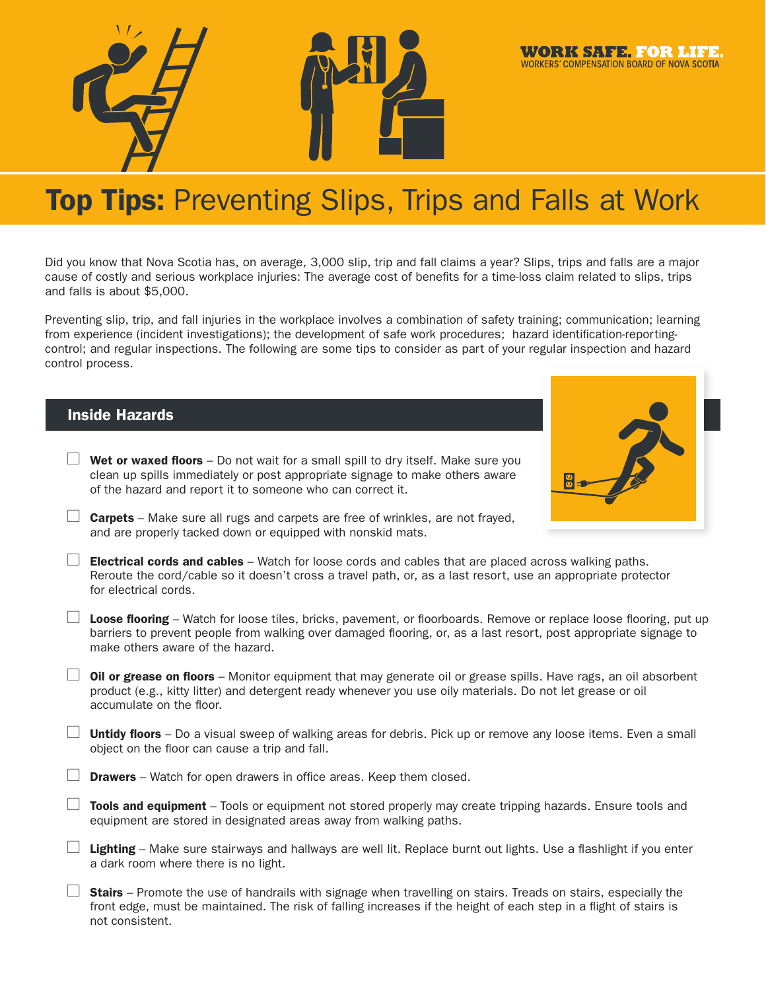

#### **WORK SAFE. FOR LIFE WORKERS' COMPENSATION BOARD OF NOVA SCOTIA**

# **Top Tips: Preventing Slips, Trips and Falls at Work**

Did you know that Nova Scotia has, on average, 3,000 slip, trip and fall claims a year? Slips, trips and falls are a major cause of costly and serious workplace injuries: The average cost of benefits for a time-loss claim related to slips, trips and falls is about \$5,000.

Preventing slip, trip, and fall injuries in the workplace involves a combination of safety training; communication; learning from experience (incident investigations); the development of safe work procedures; hazard identification-reportingcontrol; and regular inspections. The following are some tips to consider as part of your regular inspection and hazard control process.

## Inside Hazards

| $\mathbf{1}$ | <b>Wet or waxed floors</b> – Do not wait for a small spill to dry itself. Make sure you |
|--------------|-----------------------------------------------------------------------------------------|
|              | clean up spills immediately or post appropriate signage to make others aware            |
|              | of the hazard and report it to someone who can correct it.                              |



**Carpets** – Make sure all rugs and carpets are free of wrinkles, are not frayed, and are properly tacked down or equipped with nonskid mats.

**L** Electrical cords and cables – Watch for loose cords and cables that are placed across walking paths. Reroute the cord/cable so it doesn't cross a travel path, or, as a last resort, use an appropriate protector for electrical cords.

- **Loose flooring** Watch for loose tiles, bricks, pavement, or floorboards. Remove or replace loose flooring, put up barriers to prevent people from walking over damaged flooring, or, as a last resort, post appropriate signage to make others aware of the hazard.
- $\Box$  Oil or grease on floors Monitor equipment that may generate oil or grease spills. Have rags, an oil absorbent product (e.g., kitty litter) and detergent ready whenever you use oily materials. Do not let grease or oil accumulate on the floor.
- $\Box$  Untidy floors Do a visual sweep of walking areas for debris. Pick up or remove any loose items. Even a small object on the floor can cause a trip and fall.
- **Drawers** Watch for open drawers in office areas. Keep them closed.
- $\Box$  Tools and equipment Tools or equipment not stored properly may create tripping hazards. Ensure tools and equipment are stored in designated areas away from walking paths.
- **Lighting** Make sure stairways and hallways are well lit. Replace burnt out lights. Use a flashlight if you enter a dark room where there is no light.
- **Stairs** Promote the use of handrails with signage when travelling on stairs. Treads on stairs, especially the front edge, must be maintained. The risk of falling increases if the height of each step in a flight of stairs is not consistent.